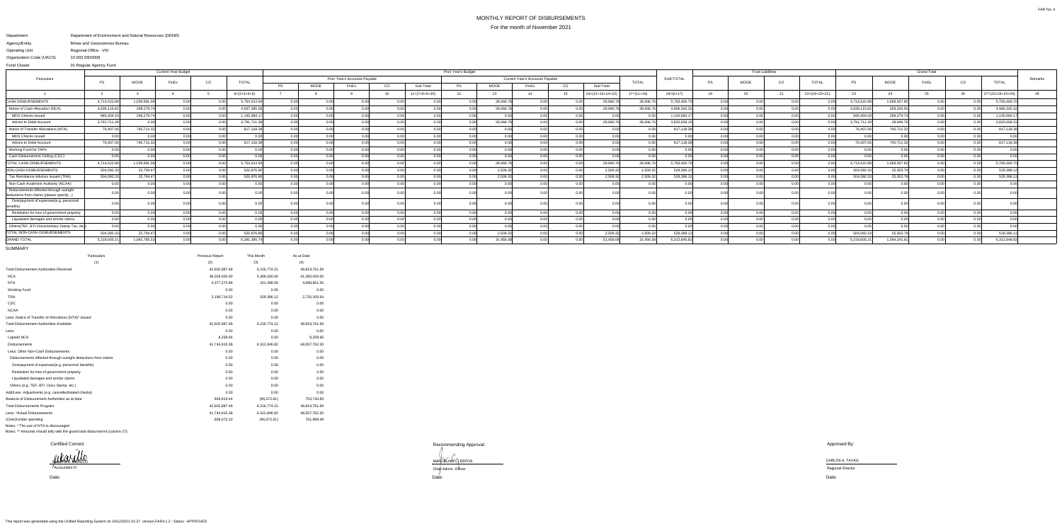## MONTHLY REPORT OF DISBURSEMENTSFor the month of November 2021

## Department Agency/EntityOperating Unit Organization Code (UACS) Department of Environment and Natural Resources (DENR) Mines and Geosciences BureauRegional Office - VIII10 003 0300008

| <b>Fund Cluster</b>                                                               | 01 Regular Agency Fund |                   |                            |               |               |                     |      |                               |                            |                                        |           |           |       |    |                            |              |                          |                |             |                    |                 |              |              |       |      |                  |         |
|-----------------------------------------------------------------------------------|------------------------|-------------------|----------------------------|---------------|---------------|---------------------|------|-------------------------------|----------------------------|----------------------------------------|-----------|-----------|-------|----|----------------------------|--------------|--------------------------|----------------|-------------|--------------------|-----------------|--------------|--------------|-------|------|------------------|---------|
| Particulars                                                                       |                        |                   | <b>Current Year Budget</b> |               |               | Prior Year's Budget |      |                               |                            |                                        |           |           |       |    |                            |              | <b>Trust Liabilities</b> |                |             | <b>Grand Total</b> |                 |              |              |       |      |                  |         |
|                                                                                   | PS                     | MOOE              | FinEx                      | CO            | <b>TOTAL</b>  |                     |      | Prior Year's Accounts Payable |                            | <b>Current Year's Accounts Payable</b> |           |           |       |    |                            | <b>TOTAL</b> | SUB-TOTA                 | PS             | <b>MOOE</b> | CO                 | <b>TOTAL</b>    | <b>PS</b>    | <b>MOOE</b>  | FinEx | CO   | <b>TOTAL</b>     | Remarks |
|                                                                                   |                        |                   |                            |               |               | <b>PS</b>           | MOOE | FinEx                         | CO                         | Sub-Total                              | <b>PS</b> | MOOE      | FinEx | CO | Sub-Total                  |              |                          |                |             |                    |                 |              |              |       |      |                  |         |
|                                                                                   |                        |                   |                            |               | $6=(2+3+4+5)$ |                     |      |                               | 10                         | $11=(7+8+9+10)$                        |           | 13        |       |    | $16 = (12 + 13 + 14 + 19)$ | $17=(11+16)$ | $18=(6+17)$              | 19             | 20          | 21                 | $22=(19+20+21)$ | 23           | 24           |       | 26   | 27=(23+24+25+26) |         |
| <b>CASH DISBURSEMENTS</b>                                                         | 4,714,522.88           | 1,039,991.06      | 0.00                       | n nn          | 5,754,513.9   | 0.00                | . വ  | 0.00                          |                            | 0.00                                   | 0.001     | 28,946.76 | 0.00  |    | 28,946.76                  | 28,946.7     | 5,783,460.70             | 0.00           | 0.00        | 0.00               |                 | 4,714,522.8  | 1,068,937.82 | 0.00  |      | 5,783,460.7      |         |
| Notice of Cash Allocation (NCA)                                                   | 4,638,115.82           | 299,279.74        | 0.00                       |               | 4,937,395.5   | 0.0                 |      | -0.00                         |                            | 0.001                                  |           | 28,946.7  | -0.00 |    | 28,946.76                  | 28,946.7     | 4,966,342.32             | 0.00           |             | 0.00               |                 | 4,638,115.82 | 328,226.50   | 0.00  |      | 4,966,342.3      |         |
| <b>MDS Checks Issued</b>                                                          | 846,404.43             | 299,279.74        | n nn                       |               | 1,145,684.1   | 0.0                 |      | $\Omega$                      | 0 <sup>0<sup>c</sup></sup> |                                        |           |           | 0.00  |    | 0.00                       |              | 1,145,684.17             | 0.00           | 0.00        | 0.00               |                 | 846,404.43   | 299,279.74   | 0.00  |      | 1,145,684.1      |         |
| Advice to Debit Account                                                           | 3,791,711.39           | 0.00 <sub>l</sub> | 0.00                       |               | 3,791,711.3   | $\cap$ $\cap$       |      | 0.00                          | 0.00                       | n nnl                                  | 0.00      | 28,946.76 | n nr  |    | 28,946.7                   | 28,946.7     | 3,820,658.1              | 0.00           | 0.00        | 0.00               |                 | 3,791,711.3  | 28,946.7     | 0.00  |      | 3,820,658.1      |         |
| Notice of Transfer Allocations (NTA)                                              | 76,407.06              | 740,711.32        | 0.00                       |               | 817,118.3     |                     |      |                               |                            | 0.00                                   | 0.OO      |           |       |    | 0.00                       |              | 817,118.38               | 0.00           |             | 0.00               | 0.00            | 76,407.06    | 740,711.3    | 0.00  |      | 817,118.38       |         |
| <b>MDS Checks Issued</b>                                                          | 0.00                   | 0.00              | 0.00                       | റ ററ          | 0.00          | n nr                |      | 0.00                          |                            | 0.00                                   | 0.00      |           | 0.00  |    | 0.00                       |              | 0.00                     | 0.00           | 0.00        | 0.00               | 0.00            | n nr         |              | 0.00  | n ni | 0.00             |         |
| Advice to Debit Account                                                           | 76,407.06              | 740,711.32        | 0.00                       |               | 817,118.38    |                     |      | 0.0                           |                            |                                        |           |           | n nr  |    | 0.00                       |              | 817,118.38               |                |             | 0.00               |                 | 76,407.06    | 740,711.3    | 0.00  |      | 817.118.3        |         |
| Working Fund for FAPs                                                             | 0.00                   | 0.00 <sub>l</sub> | n nnl                      | $\cap$ $\cap$ | n nn          | $\cap$ $\cap$       |      | n nr                          | 0.00                       | n nnl                                  | 0.00      | 0.00      | n nr  |    | 0.00 <sub>l</sub>          |              | 0.00                     | 0.OC           | 0.00        | 0.00               | 0.00            | n nr         | 0.00         | 0.00  | 0.00 |                  |         |
| Cash Disbursement Ceiling (CDC)                                                   | 0.001                  | 0.00              | 0.00                       | n nn          | . വ           | 0 U                 |      | 0.00                          | 0.00                       | 0.00                                   | 0.00      | 0.00      | 0.00  |    | 0.00                       |              | 0.00                     | 0.00           | 0.00        | 0.00               | 0.00            | 0.00         |              | 0.00  | 0.00 |                  |         |
| <b>TOTAL CASH DISBURSEMENTS</b>                                                   | 4,714,522.88           | 1,039,991.06      | 0.00                       |               | 5,754,513.94  |                     |      |                               |                            |                                        |           | 28,946.76 | 0.00  |    | 28,946.76                  | 28,946.76    | 5,783,460.70             |                |             | 0.00               |                 | 4,714,522.88 | 1,068,937.82 | 0.00  |      | 5,783,460.7      |         |
| NON-CASH DISBURSEMENTS                                                            | 504,082.33             | 22,794.47         | 0.00                       |               | 526,876.80    | 0 U                 |      | 0.0                           |                            | 0.001                                  |           | 2,509.32  | 0.00  |    | 2,509.32                   | 2,509.32     | 529,386.12               |                |             | 0.00               | 0.00            | 504,082.33   | 25,303.7     | 0.00  |      | 529,386.1        |         |
| Tax Remittance Advices Issued (TRA)                                               | 504,082.33             | 22.794.47         | 0.00                       |               | 526,876.80    |                     |      |                               |                            |                                        |           | 2,509.32  | n nr  |    | 2,509.32                   | 2,509.3      | 529,386.1                |                |             | 0.00               |                 | 504,082.33   | 25,303.7     | 0.00  |      | 529,386.1        |         |
| Non-Cash Availment Authority (NCAA)                                               | 0.00                   | 0.00              | n nnl                      |               | n nn          |                     |      | n nr                          | n nr                       |                                        |           |           | n nr  |    | 0.00                       |              | 0.00                     | 0 <sub>0</sub> | 0 U U       | 0.00               |                 | n nr         |              | n nn  | 0.00 |                  |         |
| Disbursements effected through outrigh<br>deductions from claims (please specify. |                        |                   |                            |               |               |                     |      |                               |                            |                                        |           |           |       |    |                            |              | - 0.0                    |                |             |                    |                 |              |              |       |      |                  |         |
| Overpayment of expenses(e.g. personnel<br>benefits)                               |                        |                   |                            |               |               |                     |      |                               |                            |                                        |           |           |       |    |                            |              |                          |                |             |                    |                 |              |              |       |      |                  |         |
| Restitution for loss of government proper                                         | 0.00                   | 0.00              | 0.00                       |               | . വ           | 0.O                 |      | 0.00                          | 0.00                       | 0.001                                  | 0.00      | . വ വ     | . വ   |    | 0.00                       |              | 0.00                     | 0.0            | 0.00        | 0.00               | 0.00            | 0.00         |              | 0.00  |      | 0.00             |         |
| Liquidated damages and similar claims                                             | 0.00                   | 0.00              | 0.00                       |               |               |                     |      |                               |                            |                                        |           |           |       |    | 0.00                       |              | - 0.00                   |                |             | 0.0(               |                 |              |              |       |      |                  |         |
| Others(TEF, BTr-Documentary Stamp Tax, e                                          |                        | 0.00              | 0.00                       |               |               |                     |      |                               |                            |                                        |           |           |       |    | 0.00                       |              |                          |                |             | 0.00               |                 |              |              |       |      |                  |         |
| <b>TOTAL NON-CASH DISBURSEMENTS</b>                                               | 504,082.33             | 22,794.47         | 0.00                       |               | 526,876.80    |                     |      |                               |                            |                                        |           | 2,509.32  | n nr  |    | 2,509.32                   | 2,509.32     | 529,386.1                | 0.00           |             | 0.00               |                 | 504,082.33   | 25,303.79    | 0.00  |      | 529,386.1        |         |
| GRAND TOTAL                                                                       | 5,218,605.21           | 1,062,785.53      | 0.00                       |               | 6,281,390.7   | n nr                |      | $\Omega$                      | n nr                       | 0.00                                   |           | 31,456.08 | n nr  |    | 31,456.08                  | 31,456.08    | 6,312,846.82             |                | 0.00        | 0.00               |                 | 5,218,605.2  | 1,094,241.61 | 0.00  |      | 6,312,846.82     |         |

 Date: Date: MARCELINA C ESPOS<br>Chief Admin. Officer

SUMMARY

| Particulars                                                    | Previous Report | This Month   | As at Date    |
|----------------------------------------------------------------|-----------------|--------------|---------------|
| (1)                                                            | (2)             | (3)          | (4)           |
| <b>Total Disbursement Authorities Received</b>                 | 42,602,987.48   | 6,216,774.21 | 48,819,761.69 |
| <b>NCA</b>                                                     | 36,029,000.00   | 5,366,000.00 | 41,395,000.00 |
| <b>NTA</b>                                                     | 4,377,272.96    | 321,388.09   | 4,698,661.05  |
| <b>Working Fund</b>                                            | 0.00            | 0.00         | 0.00          |
| <b>TRA</b>                                                     | 2,196,714.52    | 529,386.12   | 2,726,100.64  |
| CDC                                                            | 0.00            | 0.00         | 0.00          |
| <b>NCAA</b>                                                    | 0.00            | 0.00         | 0.00          |
| Less: Notice of Transfer of Allocations (NTA)* issued          | 0.00            | 0.00         | 0.00          |
| <b>Total Disbursement Authorities Available</b>                | 42,602,987.48   | 6,216,774.21 | 48,819,761.69 |
| Less:                                                          | 0.00            | 0.00         | 0.00          |
| Lapsed NCA                                                     | 8,258.66        | 0.00         | 8,258.66      |
| <b>Disbursements</b>                                           | 41,744,915.38   | 6,312,846.82 | 48,057,762.20 |
| Less: Other Non-Cash Disbursements                             | 0.00            | 0.00         | 0.00          |
| Disbursements effected through outright deductions from claims | 0.00            | 0.00         | 0.00          |
| Overpayment of expenses(e.g. personnel benefits)               | 0.00            | 0.00         | 0.00          |
| Restitution for loss of government property                    | 0.00            | 0.00         | 0.00          |
| Liquidated damages and similar claims                          | 0.00            | 0.00         | 0.00          |
| Others (e.g. TEF, BTr, Docs Stamp, etc.)                       | 0.00            | 0.00         | 0.00          |
| Add/Less: Adjustments (e.g. cancelled/staled checks)           | 0.00            | 0.00         | 0.00          |
| Balance of Disbursement Authorities as at date                 | 849,813.44      | (96,072.61)  | 753,740.83    |
| <b>Total Disbursements Program</b>                             | 42,602,987.48   | 6,216,774.21 | 48,819,761.69 |
| Less: *Actual Disbursements                                    | 41,744,915.38   | 6,312,846.82 | 48,057,762.20 |
| (Over)/Under spending                                          | 858,072.10      | (96,072.61)  | 761,999.49    |
| Notes: * The use of NTA is discouraged                         |                 |              |               |

Notes: \*\* Amounts should tally with the grand total disbursemnt (column 27).

Certified Correct:

Recommending Approval:

Approved By:

Date:

EVALYN E. BARILLO Accountant III

CARLOS A. TAYAG Regional Director